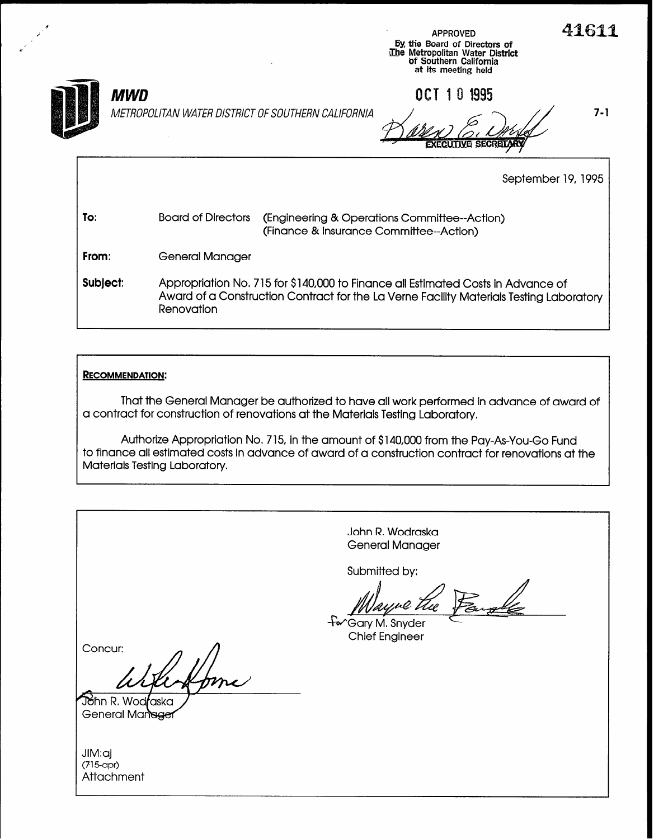

d

MWD

METROPOLITAN WATER DISTRICT OF SOUTHERN CALIFORNIA  $\sim$  /  $\sim$   $\sim$  /  $\sim$  7-1

in the contract of the contract of the contract of the contract of the contract of  $\mathsf{APPROVED}$ y the Board of Directors of طالع السلطانية و المستخدمات المستخدمات المستخدمات المستخدمات المستخدمات المستخدمات<br>The Metropolitan Water District

**CRETARY** 

of Southern California at its meeting held

OCT 10 1995

September 19, 1995

| To: | Board of Directors (Engineering & Operations Committee--Action) |  |  |  |  |
|-----|-----------------------------------------------------------------|--|--|--|--|
|     | (Finance & Insurance Committee--Action)                         |  |  |  |  |

From: General Manager

Subject: Appropriation No, 7 15 for \$140,000 to Finance all Estimated Costs in Advance of Award of a Construction Contract for the La Verne Facility Materials Testing Laboratory **Renovation** 

#### RECOMMENDATION:

That the General Manager be authorized to have all work performed in advance of award of a contract for construction of renovations at the Materials Testing Laboratory.

Authorize Appropriation No. 715, in the amount of \$140,000 from the Pay-As-You-Go Fund to finance all estimated costs in advance of award of a construction contract for renovations at the Materials Testing Laboratory.

| John R. Wodraska<br><b>General Manager</b>  |
|---------------------------------------------|
| Submitted by:                               |
| for Gary M. Snyder<br><b>Chief Engineer</b> |
| Concur:                                     |
| John R. Wodraska<br>General Manager         |
| JIM:aj<br>$(715$ -apr $)$<br>Attachment     |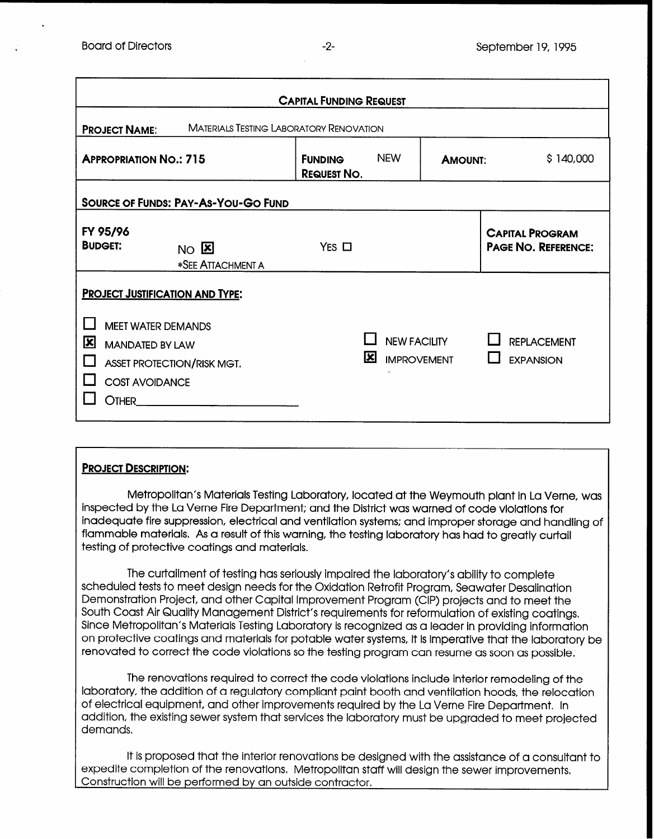| <b>CAPITAL FUNDING REQUEST</b>                                         |                                                                                                                                                      |                                      |     |                                                     |                |                                                      |  |  |
|------------------------------------------------------------------------|------------------------------------------------------------------------------------------------------------------------------------------------------|--------------------------------------|-----|-----------------------------------------------------|----------------|------------------------------------------------------|--|--|
| <b>MATERIALS TESTING LABORATORY RENOVATION</b><br><b>PROJECT NAME:</b> |                                                                                                                                                      |                                      |     |                                                     |                |                                                      |  |  |
| <b>APPROPRIATION NO.: 715</b>                                          |                                                                                                                                                      | <b>FUNDING</b><br><b>REQUEST NO.</b> |     | <b>NEW</b>                                          | <b>AMOUNT:</b> | \$140,000                                            |  |  |
| <b>SOURCE OF FUNDS: PAY-AS-YOU-GO FUND</b>                             |                                                                                                                                                      |                                      |     |                                                     |                |                                                      |  |  |
| FY 95/96<br><b>BUDGET:</b>                                             | $NO$ $E$<br>*SEE ATTACHMENT A                                                                                                                        | $Yes \Box$                           |     |                                                     |                | <b>CAPITAL PROGRAM</b><br><b>PAGE NO. REFERENCE:</b> |  |  |
| 区<br>Other_                                                            | <b>PROJECT JUSTIFICATION AND TYPE:</b><br><b>MEET WATER DEMANDS</b><br><b>MANDATED BY LAW</b><br>ASSET PROTECTION/RISK MGT.<br><b>COST AVOIDANCE</b> |                                      | IXI | <b>NEW FACILITY</b><br><b>IMPROVEMENT</b><br>$\sim$ |                | <b>REPLACEMENT</b><br><b>EXPANSION</b>               |  |  |

### PROJECT DESCRIPTION:

Metropolitan's Materials Testing Laboratory, located at the Weymouth plant in La Verne, was inspected by the La Verne Fire Department; and the District was warned of code violations for inadequate fire suppression, electrical and ventilation systems; and improper storage and handling of flammable materials, As a result of this warning, the testing laboratory has had to greatly curtail testing of protective coatings and materials.

The curtailment of testing has seriously impaired the laboratory's ability to complete scheduled tests to meet design needs for the Oxidation Retrofit Program, Seawater Desalination Demonstration Project, and other Capital Improvement Program (CIP) projects and to meet the South Coast Air Quality Management District's requirements for reformulation of existing coatings, Since Metropolitan's Materials Testing Laboratory is recognized as a leader in providing information on protective coatings and materials for potable water systems, it is imperative that the laboratory be renovated to correct the code violations so the testing program can resume as soon as possible.

The renovations required to correct the code violations include interior remodeling of the laboratory, the addition of a regulatory compliant paint booth and ventilation hoods, the relocation of electrical equipment, and other improvements required by the La Verne Fire Department. In addition, the existing sewer system that services the laboratory must be upgraded to meet projected demands,

It is proposed that the interior renovations be designed with the assistance of a consultant to expedite completion of the renovations, Metropolitan staff will design the sewer improvements, Construction will be performed by an outside contractor.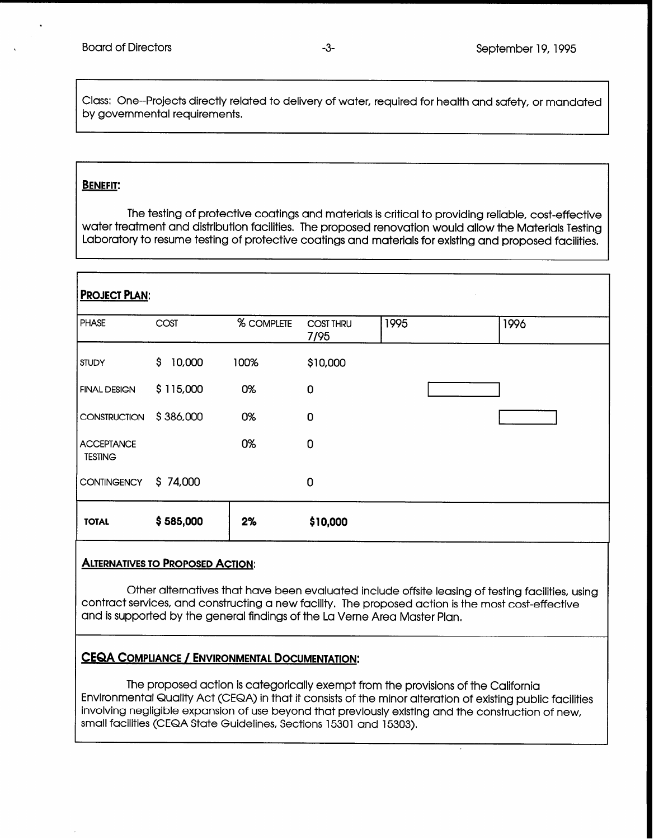Class: One--Projects directly related to delivery of water, required for health and safety, or mandated by governmental requirements.

#### BENEFIT:

The testing of protective coatings and materials is critical to providing reliable, cost-effective water treatment and distribution facilities. The proposed renovation would allow the Materials Testing Laboratory to resume testing of protective coatings and materials for existing and proposed facilities,

# PROJECT PLAN: PHASE COST % COMPLETE COST THRU 1995 1996 7195 STUDY \$ 10,000 100% \$10,000 FINAL DESIGN  $\begin{matrix} 5 & 115,000 & 0\end{matrix}$  0 0 CONSTRUCTION \$386,000 0% 0 <sup>I</sup> ACCEPTANCE 0% 0% TESTING CONTINGENCY \$74,000 0 TOTAL \$585,000 2% \$10,000

#### ALTERNATIVES TO PROPOSED ACTION:

Other alternatives that have been evaluated include offsite leasing of testing facilities, using contract services, and constructing a new facility. The proposed action is the most cost-effective and is supported by the general findings of the La Verne Area Master Plan.

### CEQA COMPLIANCE / ENVIRONMENTAL DOCUMENTATION:

The proposed action is categorically exempt from the provisions of the California Environmental Quality Act (CEQA) in that it consists of the minor alteration of existing public facilities involving negligible expansion of use beyond that previously existing and the construction of new, small facilities (CEQA State Guidelines, Sections 15301 and 15303)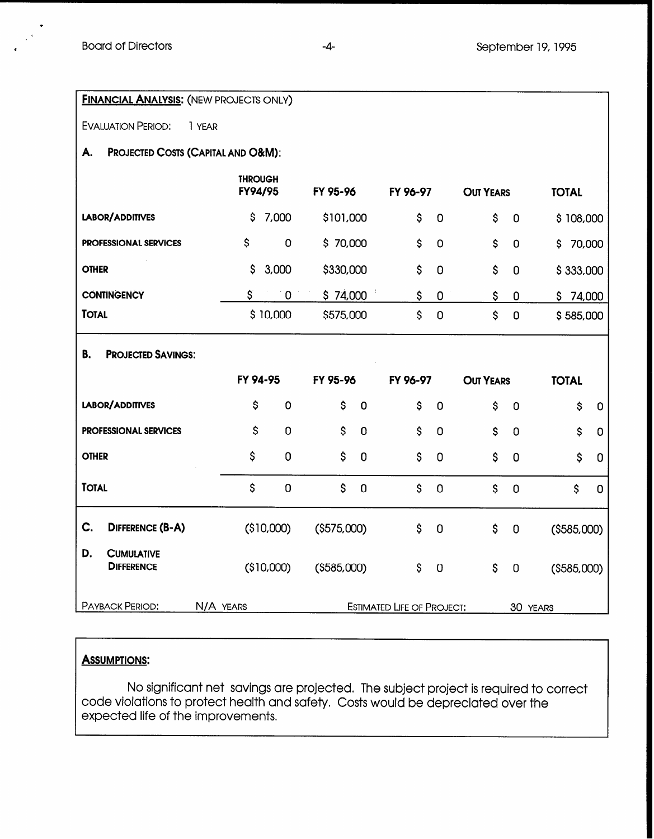| <b>FINANCIAL ANALYSIS: (NEW PROJECTS ONLY)</b>      |                           |                |                      |          |             |                           |                |                      |  |
|-----------------------------------------------------|---------------------------|----------------|----------------------|----------|-------------|---------------------------|----------------|----------------------|--|
| <b>EVALUATION PERIOD:</b><br>1 YEAR                 |                           |                |                      |          |             |                           |                |                      |  |
| <b>PROJECTED COSTS (CAPITAL AND O&amp;M):</b><br>А. |                           |                |                      |          |             |                           |                |                      |  |
|                                                     | <b>THROUGH</b><br>FY94/95 |                | FY 95-96             | FY 96-97 |             | <b>OUT YEARS</b>          |                | <b>TOTAL</b>         |  |
| LABOR/ADDITIVES                                     | \$                        | 7,000          | \$101,000            | \$       | $\mathbf 0$ | \$                        | $\mathbf 0$    | \$108,000            |  |
| <b>PROFESSIONAL SERVICES</b>                        | \$                        | 0              | \$70,000             | \$       | $\mathbf 0$ | \$                        | $\mathbf 0$    | 70,000<br>\$         |  |
| <b>OTHER</b>                                        | $\mathsf{S}$              | 3,000          | \$330,000            | \$       | $\mathbf 0$ | $\boldsymbol{\mathsf{S}}$ | $\mathbf 0$    | \$333,000            |  |
| <b>CONTINGENCY</b>                                  | \$                        | $\mathbf 0$    | \$74,000             | \$       | $\mathbf 0$ | \$                        | 0              | \$74,000             |  |
| <b>TOTAL</b>                                        |                           | \$10,000       | \$575,000            | \$       | $\mathbf 0$ | $\mathsf{S}$              | $\mathbf 0$    | \$585,000            |  |
| <b>PROJECTED SAVINGS:</b><br>В.                     |                           |                |                      |          |             |                           |                |                      |  |
|                                                     |                           |                |                      |          |             |                           |                |                      |  |
|                                                     | FY 94-95                  |                | FY 95-96             | FY 96-97 |             | <b>OUT YEARS</b>          |                | <b>TOTAL</b>         |  |
| LABOR/ADDITIVES                                     | \$                        | 0              | \$<br>$\overline{0}$ | \$       | $\mathbf 0$ | \$                        | $\overline{0}$ | \$<br>$\mathbf 0$    |  |
| <b>PROFESSIONAL SERVICES</b>                        | \$                        | $\mathbf 0$    | \$<br>$\mathbf 0$    | \$       | $\mathbf 0$ | \$                        | $\overline{0}$ | \$<br>$\mathbf 0$    |  |
| <b>OTHER</b>                                        | \$                        | $\overline{0}$ | \$<br>$\mathbf 0$    | \$       | 0           | \$                        | $\mathbf 0$    | \$<br>0              |  |
| <b>TOTAL</b>                                        | $\mathsf{S}$              | $\mathbf 0$    | \$<br>$\mathbf 0$    | \$       | $\mathbf 0$ | \$                        | $\mathbf 0$    | \$<br>$\overline{0}$ |  |
| C.<br><b>DIFFERENCE (B-A)</b>                       |                           | (\$10,000)     | ( \$575,000)         | \$       | $\mathbf 0$ | \$                        | $\mathbf 0$    | ( \$585,000)         |  |
| D.<br><b>CUMULATIVE</b><br><b>DIFFERENCE</b>        |                           | (\$10,000)     | ( \$585,000)         | \$       | $\mathbf 0$ | $\boldsymbol{\mathsf{S}}$ | $\pmb{0}$      | ( \$585,000)         |  |

## **ASSUMPTIONS:**

No significant net savings are projected. The subject project is required to correct code violations to protect health and safety, Costs would be depreciated over the expected life of the improvements.